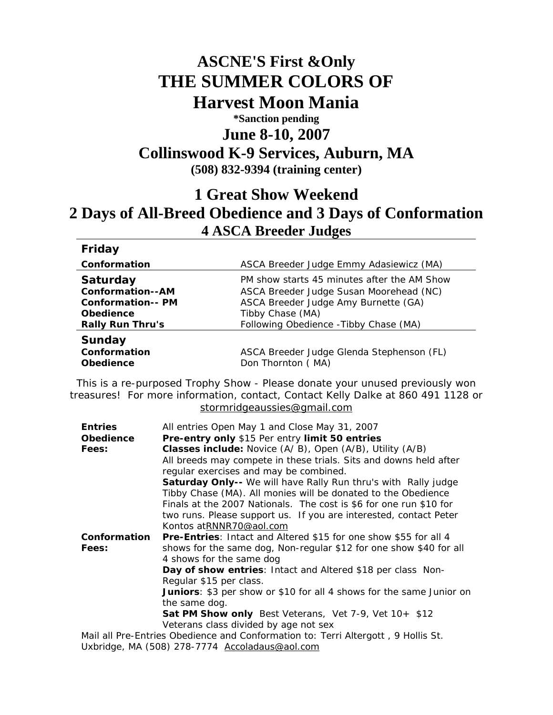## **ASCNE'S First &Only THE SUMMER COLORS OF Harvest Moon Mania \*Sanction pending June 8-10, 2007 Collinswood K-9 Services, Auburn, MA (508) 832-9394 (training center)**

## **1 Great Show Weekend 2 Days of All-Breed Obedience and 3 Days of Conformation 4 ASCA Breeder Judges**

| Friday                   |                                             |  |  |
|--------------------------|---------------------------------------------|--|--|
| Conformation             | ASCA Breeder Judge Emmy Adasiewicz (MA)     |  |  |
| <b>Saturday</b>          | PM show starts 45 minutes after the AM Show |  |  |
| <b>Conformation--AM</b>  | ASCA Breeder Judge Susan Moorehead (NC)     |  |  |
| <b>Conformation-- PM</b> | ASCA Breeder Judge Amy Burnette (GA)        |  |  |
| <b>Obedience</b>         | Tibby Chase (MA)                            |  |  |
| <b>Rally Run Thru's</b>  | Following Obedience - Tibby Chase (MA)      |  |  |
| Sunday                   |                                             |  |  |
| Conformation             | ASCA Breeder Judge Glenda Stephenson (FL)   |  |  |
| <b>Obedience</b>         | Don Thornton (MA)                           |  |  |

This is a re-purposed Trophy Show - Please donate your unused previously won treasures! For more information, contact, Contact Kelly Dalke at 860 491 1128 or [stormridgeaussies@gmail.com](mailto:stormridgeaussies@gmail.com)

| <b>Entries</b>   | All entries Open May 1 and Close May 31, 2007                                     |  |  |
|------------------|-----------------------------------------------------------------------------------|--|--|
| <b>Obedience</b> | Pre-entry only \$15 Per entry limit 50 entries                                    |  |  |
| Fees:            | <b>Classes include:</b> Novice (A/B), Open (A/B), Utility (A/B)                   |  |  |
|                  | All breeds may compete in these trials. Sits and downs held after                 |  |  |
|                  | regular exercises and may be combined.                                            |  |  |
|                  | Saturday Only-- We will have Rally Run thru's with Rally judge                    |  |  |
|                  | Tibby Chase (MA). All monies will be donated to the Obedience                     |  |  |
|                  | Finals at the 2007 Nationals. The cost is \$6 for one run \$10 for                |  |  |
|                  | two runs. Please support us. If you are interested, contact Peter                 |  |  |
|                  | Kontos atRNNR70@aol.com                                                           |  |  |
| Conformation     | <b>Pre-Entries:</b> Intact and Altered \$15 for one show \$55 for all 4           |  |  |
| Fees:            | shows for the same dog, Non-regular \$12 for one show \$40 for all                |  |  |
|                  | 4 shows for the same dog                                                          |  |  |
|                  | Day of show entries: Intact and Altered \$18 per class Non-                       |  |  |
|                  | Regular \$15 per class.                                                           |  |  |
|                  | <b>Juniors</b> : \$3 per show or \$10 for all 4 shows for the same Junior on      |  |  |
|                  | the same dog.                                                                     |  |  |
|                  | Sat PM Show only Best Veterans, Vet 7-9, Vet 10+ \$12                             |  |  |
|                  | Veterans class divided by age not sex                                             |  |  |
|                  | Mail all Pre-Entries Obedience and Conformation to: Terri Altergott, 9 Hollis St. |  |  |

Uxbridge, MA (508) 278-7774 [Accoladaus@aol.com](mailto:Accoladaus@aol.com)